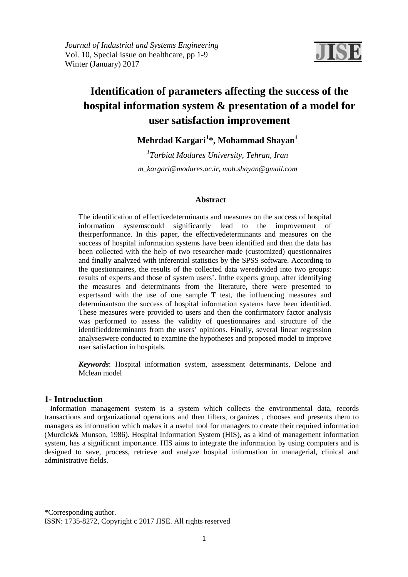

# **Identification of parameters affecting the success of the hospital information system & presentation of a model for user satisfaction improvement**

# **Mehrdad Kargari<sup>1</sup> \*, Mohammad Shayan<sup>1</sup>**

*1 Tarbiat Modares University, Tehran, Iran m\_kargari@modares.ac.ir, moh.shayan@gmail.com*

# **Abstract**

The identification of effectivedeterminants and measures on the success of hospital information systemscould significantly lead to the improvement of theirperformance. In this paper, the effectivedeterminants and measures on the success of hospital information systems have been identified and then the data has been collected with the help of two researcher-made (customized) questionnaires and finally analyzed with inferential statistics by the SPSS software. According to the questionnaires, the results of the collected data weredivided into two groups: results of experts and those of system users'. Inthe experts group, after identifying the measures and determinants from the literature, there were presented to expertsand with the use of one sample T test, the influencing measures and determinantson the success of hospital information systems have been identified. These measures were provided to users and then the confirmatory factor analysis was performed to assess the validity of questionnaires and structure of the identifieddeterminants from the users' opinions. Finally, several linear regression analyseswere conducted to examine the hypotheses and proposed model to improve user satisfaction in hospitals.

*Keywords*: Hospital information system, assessment determinants, Delone and Mclean model

# **1- Introduction**

 Information management system is a system which collects the environmental data, records transactions and organizational operations and then filters, organizes , chooses and presents them to managers as information which makes it a useful tool for managers to create their required information (Murdick& Munson, 1986). Hospital Information System (HIS), as a kind of management information system, has a significant importance. HIS aims to integrate the information by using computers and is designed to save, process, retrieve and analyze hospital information in managerial, clinical and administrative fields.

\*Corresponding author.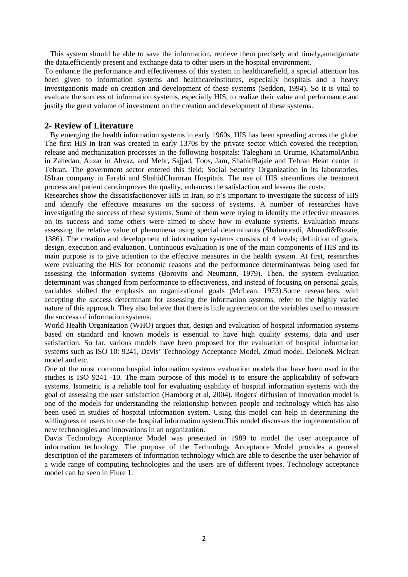This system should be able to save the information, retrieve them precisely and timely,amalgamate the data,efficiently present and exchange data to other users in the hospital environment.

To enhance the performance and effectiveness of this system in healthcarefield, a special attention has been given to information systems and healthcareinstitutes, especially hospitals and a heavy investigationis made on creation and development of these systems (Seddon, 1994). So it is vital to evaluate the success of information systems, especially HIS, to realize their value and performance and justify the great volume of investment on the creation and development of these systems.

### **2- Review of Literature**

 By emerging the health information systems in early 1960s, HIS has been spreading across the globe. The first HIS in Iran was created in early 1370s by the private sector which covered the reception, release and mechanization processes in the following hospitals: Taleghani in Urumie, KhatamolAnbia in Zahedan, Auzar in Ahvaz, and Mehr, Sajjad, Toos, Jam, ShahidRajaie and Tehran Heart center in Tehran. The government sector entered this field; Social Security Organization in its laboratories, ISIran company in Farabi and ShahidChamran Hospitals. The use of HIS streamlines the treatment process and patient care,improves the quality, enhances the satisfaction and lessens the costs.

Researches show the dissatisfactionover HIS in Iran, so it's important to investigate the success of HIS and identify the effective measures on the success of systems. A number of researches have investigating the success of these systems. Some of them were trying to identify the effective measures on its success and some others were aimed to show how to evaluate systems. Evaluation means assessing the relative value of phenomena using special determinants (Shahmoradi, Ahmadi&Rezaie, 1386). The creation and development of information systems consists of 4 levels; definition of goals, design, execution and evaluation. Continuous evaluation is one of the main components of HIS and its main purpose is to give attention to the effective measures in the health system. At first, researches were evaluating the HIS for economic reasons and the performance determinantwas being used for assessing the information systems (Borovits and Neumann, 1979). Then, the system evaluation determinant was changed from performance to effectiveness, and instead of focusing on personal goals, variables shifted the emphasis on organizational goals (McLean, 1973).Some researchers, with accepting the success determinant for assessing the information systems, refer to the highly varied nature of this approach. They also believe that there is little agreement on the variables used to measure the success of information systems.

World Health Organization (WHO) argues that, design and evaluation of hospital information systems based on standard and known models is essential to have high quality systems, data and user satisfaction. So far, various models have been proposed for the evaluation of hospital information systems such as ISO 10: 9241, Davis' Technology Acceptance Model, Zmud model, Delone& Mclean model and etc.

One of the most common hospital information systems evaluation models that have been used in the studies is ISO 9241 -10. The main purpose of this model is to ensure the applicability of software systems. Isometric is a reliable tool for evaluating usability of hospital information systems with the goal of assessing the user satisfaction (Hamborg et al, 2004). Rogers' diffusion of innovation model is one of the models for understanding the relationship between people and technology which has also been used in studies of hospital information system. Using this model can help in determining the willingness of users to use the hospital information system.This model discusses the implementation of new technologies and innovations in an organization.

Davis Technology Acceptance Model was presented in 1989 to model the user acceptance of information technology. The purpose of the Technology Acceptance Model provides a general description of the parameters of information technology which are able to describe the user behavior of a wide range of computing technologies and the users are of different types. Technology acceptance model can be seen in Fiure 1.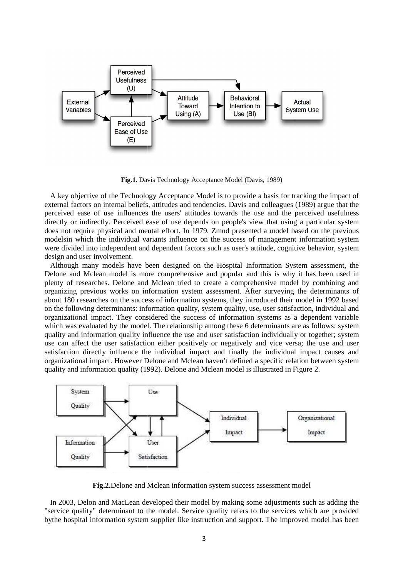

**Fig.1.** Davis Technology Acceptance Model (Davis, 1989)

 A key objective of the Technology Acceptance Model is to provide a basis for tracking the impact of external factors on internal beliefs, attitudes and tendencies. Davis and colleagues (1989) argue that the perceived ease of use influences the users' attitudes towards the use and the perceived usefulness directly or indirectly. Perceived ease of use depends on people's view that using a particular system does not require physical and mental effort. In 1979, Zmud presented a model based on the previous modelsin which the individual variants influence on the success of management information system were divided into independent and dependent factors such as user's attitude, cognitive behavior, system design and user involvement.

 Although many models have been designed on the Hospital Information System assessment, the Delone and Mclean model is more comprehensive and popular and this is why it has been used in plenty of researches. Delone and Mclean tried to create a comprehensive model by combining and organizing previous works on information system assessment. After surveying the determinants of about 180 researches on the success of information systems, they introduced their model in 1992 based on the following determinants: information quality, system quality, use, user satisfaction, individual and on the following determinants: information quality, system quality, use, user satisfaction, individual and organizational impact. They considered the success of information systems as a dependent variable which was evaluated by the model. The relationship among these 6 determinants are as follows: system quality and information quality influence the use and user satisfaction individually or together; system use can affect the user satisfaction either positively or negatively and vice versa; the use and user satisfaction directly influence the individual impact and finally the individual impact causes and organizational impact. However Delone and Mclean haven't defined a specific relation between between system quality and information quality (1992). Delone and Mclean model is illustrated in F Figure 2.



**Fig.2.**Delone and Mclean information system success assessment model

 In 2003, Delon and MacLean developed their model by making some adjustments such as adding the "service quality" determinant to the model. Service quality refers to the services which are provided bythe hospital information system supplier like instruction and support. The improved model has been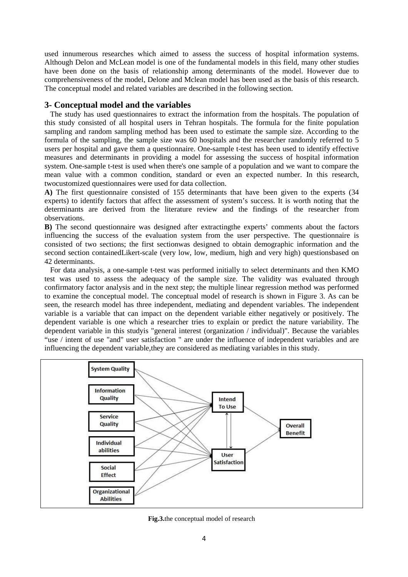used innumerous researches which aimed to assess the success of hospital information systems. Although Delon and McLean model is one of the fundamental models in this field, many other studies have been done on the basis of relationship among determinants of the model. However due to comprehensiveness of the model, Delone and Mclean model has been used as the basis of this research. The conceptual model and related variables are described in the following section.

### **3- Conceptual model and the variables**

 The study has used questionnaires to extract the information from the hospitals. The population of this study consisted of all hospital users in Tehran hospitals. The formula for the finite population sampling and random sampling method has been used to estimate the sample size. According to the formula of the sampling, the sample size was 60 hospitals and the researcher randomly referred to 5 users per hospital and gave them a questionnaire. One-sample t-test has been used to identify effective measures and determinants in providing a model for assessing the success of hospital information system. One-sample t-test is used when there's one sample of a population and we want to compare the mean value with a common condition, standard or even an expected number. In this research, twocustomized questionnaires were used for data collection.

**A)** The first questionnaire consisted of 155 determinants that have been given to the experts (34 experts) to identify factors that affect the assessment of system's success. It is worth noting that the determinants are derived from the literature review and the findings of the researcher from observations.

**B)** The second questionnaire was designed after extractingthe experts' comments about the factors influencing the success of the evaluation system from the user perspective. The questionnaire is consisted of two sections; the first sectionwas designed to obtain demographic information and the second section containedLikert-scale (very low, low, medium, high and very high) questionsbased on 42 determinants.

 For data analysis, a one-sample t-test was performed initially to select determinants and then KMO test was used to assess the adequacy of the sample size. The validity was evaluated through confirmatory factor analysis and in the next step; the multiple linear regression method was performed to examine the conceptual model. The conceptual model of research is shown in Figure 3. As can be seen, the research model has three independent, mediating and dependent variables. The independent variable is a variable that can impact on the dependent variable either negatively or positively. The dependent variable is one which a researcher tries to explain or predict the nature variability. The dependent variable in this studyis "general interest (organization / individual)". Because the variables "use / intent of use "and" user satisfaction " are under the influence of independent variables and are influencing the dependent variable,they are considered as mediating variables in this study.



**Fig.3.**the conceptual model of research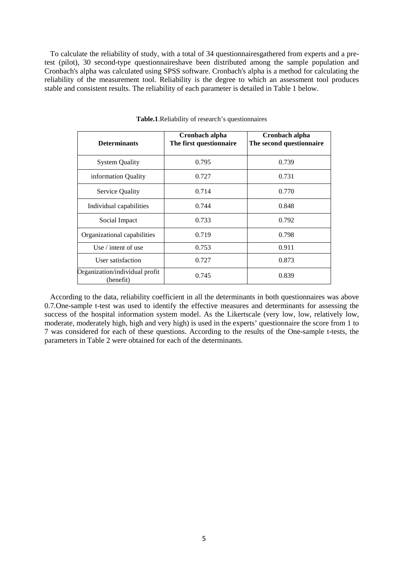To calculate the reliability of study, with a total of 34 questionnairesgathered from experts and a pretest (pilot), 30 second-type questionnaireshave been distributed among the sample population and Cronbach's alpha was calculated using SPSS software. Cronbach's alpha is a method for calculating the reliability of the measurement tool. Reliability is the degree to which an assessment tool produces stable and consistent results. The reliability of each parameter is detailed in Table 1 below.

| <b>Determinants</b>                         | Cronbach alpha<br>The first questionnaire | Cronbach alpha<br>The second questionnaire |
|---------------------------------------------|-------------------------------------------|--------------------------------------------|
| <b>System Quality</b>                       | 0.795                                     | 0.739                                      |
| information Quality                         | 0.727                                     | 0.731                                      |
| Service Quality                             | 0.714                                     | 0.770                                      |
| Individual capabilities                     | 0.744                                     | 0.848                                      |
| Social Impact                               | 0.733                                     | 0.792                                      |
| Organizational capabilities                 | 0.719                                     | 0.798                                      |
| Use $/$ intent of use                       | 0.753                                     | 0.911                                      |
| User satisfaction                           | 0.727                                     | 0.873                                      |
| Organization/individual profit<br>(benefit) | 0.745                                     | 0.839                                      |

**Table.1**.Reliability of research's questionnaires

 According to the data, reliability coefficient in all the determinants in both questionnaires was above 0.7.One-sample t-test was used to identify the effective measures and determinants for assessing the success of the hospital information system model. As the Likertscale (very low, low, relatively low, moderate, moderately high, high and very high) is used in the experts' questionnaire the score from 1 to 7 was considered for each of these questions. According to the results of the One-sample t-tests, the parameters in Table 2 were obtained for each of the determinants.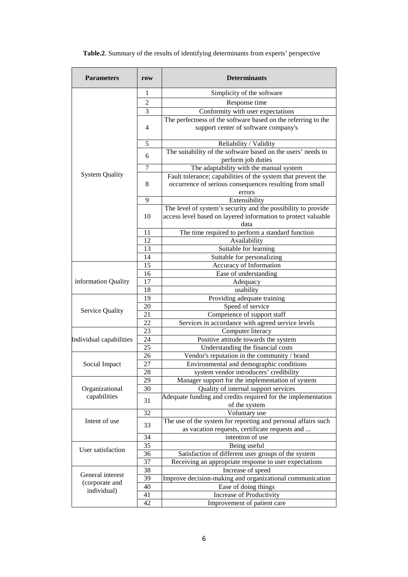| <b>Parameters</b>              | row            | <b>Determinants</b>                                                                                                                    |  |
|--------------------------------|----------------|----------------------------------------------------------------------------------------------------------------------------------------|--|
| <b>System Quality</b>          | $\mathbf{1}$   | Simplicity of the software                                                                                                             |  |
|                                | $\overline{c}$ | Response time                                                                                                                          |  |
|                                | 3              | Conformity with user expectations                                                                                                      |  |
|                                |                | The perfectness of the software based on the referring to the                                                                          |  |
|                                | $\overline{4}$ | support center of software company's                                                                                                   |  |
|                                | 5              | Reliability / Validity                                                                                                                 |  |
|                                | 6              | The suitability of the software based on the users' needs to<br>perform job duties                                                     |  |
|                                | 7              | The adaptability with the manual system                                                                                                |  |
|                                | 8              | Fault tolerance; capabilities of the system that prevent the<br>occurrence of serious consequences resulting from small<br>errors      |  |
|                                | 9              | Extensibility                                                                                                                          |  |
|                                | 10             | The level of system's security and the possibility to provide<br>access level based on layered information to protect valuable<br>data |  |
|                                | 11             | The time required to perform a standard function                                                                                       |  |
|                                | 12             | Availability                                                                                                                           |  |
|                                | 13             | Suitable for learning                                                                                                                  |  |
|                                | 14             | Suitable for personalizing                                                                                                             |  |
| information Quality            | 15             | Accuracy of Information                                                                                                                |  |
|                                | 16             | Ease of understanding                                                                                                                  |  |
|                                | 17             | Adequacy                                                                                                                               |  |
|                                | 18             | usability                                                                                                                              |  |
| <b>Service Quality</b>         | 19             | Providing adequate training                                                                                                            |  |
|                                | 20             | Speed of service                                                                                                                       |  |
|                                | 21             | Competence of support staff                                                                                                            |  |
|                                | 22             | Services in accordance with agreed service levels                                                                                      |  |
| Individual capabilities        | 23             | Computer literacy                                                                                                                      |  |
|                                | 24             | Positive attitude towards the system                                                                                                   |  |
|                                | 25             | Understanding the financial costs                                                                                                      |  |
| Social Impact                  | 26             | Vendor's reputation in the community / brand                                                                                           |  |
|                                | 27             | Environmental and demographic conditions                                                                                               |  |
|                                | 28             | system vendor introducers' credibility                                                                                                 |  |
| Organizational<br>capabilities | 29             | Manager support for the implementation of system                                                                                       |  |
|                                | 30             | Quality of internal support services                                                                                                   |  |
|                                | 31             | Adequate funding and credits required for the implementation<br>of the system                                                          |  |
| Intent of use                  | 32             | Voluntary use                                                                                                                          |  |
|                                | 33             | The use of the system for reporting and personal affairs such<br>as vacation requests, certificate requests and                        |  |
|                                | 34             | intention of use                                                                                                                       |  |
| User satisfaction              | 35             | Being useful                                                                                                                           |  |
|                                | 36             | Satisfaction of different user groups of the system                                                                                    |  |
|                                | 37             | Receiving an appropriate response to user expectations                                                                                 |  |
|                                | 38             | Increase of speed                                                                                                                      |  |

**Table.2**. Summary of the results of identifying determinants from experts' perspective

40 Ease of doing things 41 Increase of Productivity<br>42 Improvement of patient ca

39 Improve decision-making and organizational communication

Improvement of patient care

General interest (corporate and individual)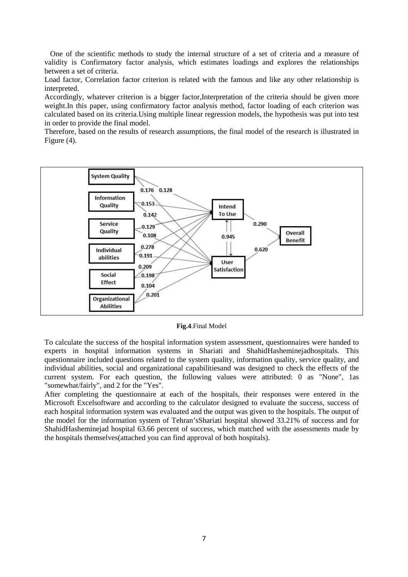One of the scientific methods to study the internal structure of a set of criteria and a measure of validity is Confirmatory factor analysis, which estimates loadings and explores the relationships between a set of criteria.

Load factor, Correlation factor criterion is related with the famous and like any other relationship is interpreted.

Accordingly, whatever criterion is a bigger factor,Interpretation of the criteria should be given more weight.In this paper, using confirmatory factor analysis method, factor loading of each criterion was calculated based on its criteria.Using multiple linear regression models, the hypothesis was put into test in order to provide the final model.

Therefore, based on the results of research assumptions, the final model of the research is illustrated in Figure (4).



**Fig.4**.Final Model

To calculate the success of the hospital information system assessment, questionnaires were handed to experts in hospital information systems in Shariati and ShahidHasheminejadhospitals. This questionnaire included questions related to the system quality, information quality, service quality, and individual abilities, social and organizational capabilitiesand was designed to check the effects of the current system. For each question, the following values were attributed: 0 as "None", 1as "somewhat/fairly", and 2 for the "Yes".

After completing the questionnaire at each of the hospitals, their responses were entered in the Microsoft Excelsoftware and according to the calculator designed to evaluate the success, success of each hospital information system was evaluated and the output was given to the hospitals. The output of the model for the information system of Tehran'sShariati hospital showed 33.21% of success and for ShahidHasheminejad hospital 63.66 percent of success, which matched with the assessments made by the hospitals themselves(attached you can find approval of both hospitals).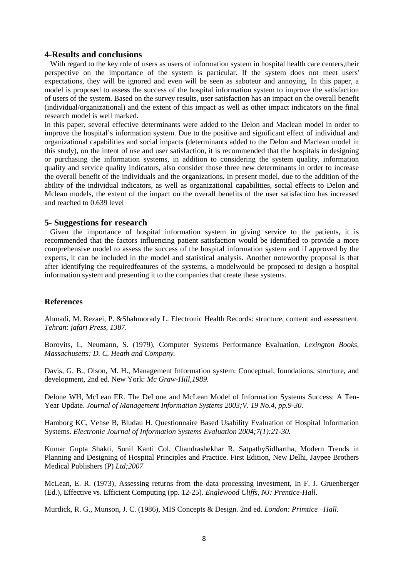#### **4-Results and conclusions**

 With regard to the key role of users as users of information system in hospital health care centers,their perspective on the importance of the system is particular. If the system does not meet users' expectations, they will be ignored and even will be seen as saboteur and annoying. In this paper, a model is proposed to assess the success of the hospital information system to improve the satisfaction of users of the system. Based on the survey results, user satisfaction has an impact on the overall benefit (individual/organizational) and the extent of this impact as well as other impact indicators on the final research model is well marked.

In this paper, several effective determinants were added to the Delon and Maclean model in order to improve the hospital's information system. Due to the positive and significant effect of individual and organizational capabilities and social impacts (determinants added to the Delon and Maclean model in this study), on the intent of use and user satisfaction, it is recommended that the hospitals in designing or purchasing the information systems, in addition to considering the system quality, information quality and service quality indicators, also consider those three new determinants in order to increase the overall benefit of the individuals and the organizations. In present model, due to the addition of the ability of the individual indicators, as well as organizational capabilities, social effects to Delon and Mclean models, the extent of the impact on the overall benefits of the user satisfaction has increased and reached to 0.639 level

#### **5- Suggestions for research**

 Given the importance of hospital information system in giving service to the patients, it is recommended that the factors influencing patient satisfaction would be identified to provide a more comprehensive model to assess the success of the hospital information system and if approved by the experts, it can be included in the model and statistical analysis. Another noteworthy proposal is that after identifying the requiredfeatures of the systems, a modelwould be proposed to design a hospital information system and presenting it to the companies that create these systems.

#### **References**

Ahmadi, M. Rezaei, P. &Shahmorady L. Electronic Health Records: structure, content and assessment. *Tehran: jafari Press, 1387.* 

Borovits, I., Neumann, S. (1979), Computer Systems Performance Evaluation, *Lexington Books, Massachusetts: D. C. Heath and Company.* 

Davis, G. B., Olson, M. H., Management Information system: Conceptual, foundations, structure, and development, 2nd ed. New York: *Mc Graw-Hill,1989.* 

Delone WH, McLean ER. The DeLone and McLean Model of Information Systems Success: A Ten-Year Update. *Journal of Management Information Systems 2003;V. 19 No.4, pp.9-30.* 

Hamborg KC, Vehse B, Bludau H. Questionnaire Based Usability Evaluation of Hospital Information Systems. *Electronic Journal of Information Systems Evaluation 2004;7(1):21-30.* 

Kumar Gupta Shakti, Sunil Kanti Col, Chandrashekhar R, SatpathySidhartha, Modern Trends in Planning and Designing of Hospital Principles and Practice. First Edition, New Delhi, Jaypee Brothers Medical Publishers (P) *Ltd;2007* 

McLean, E. R. (1973), Assessing returns from the data processing investment, In F. J. Gruenberger (Ed.), Effective vs. Efficient Computing (pp. 12-25). *Englewood Cliffs, NJ: Prentice-Hall.* 

Murdick, R. G., Munson, J. C. (1986), MIS Concepts & Design. 2nd ed. *London: Primtice –Hall.*